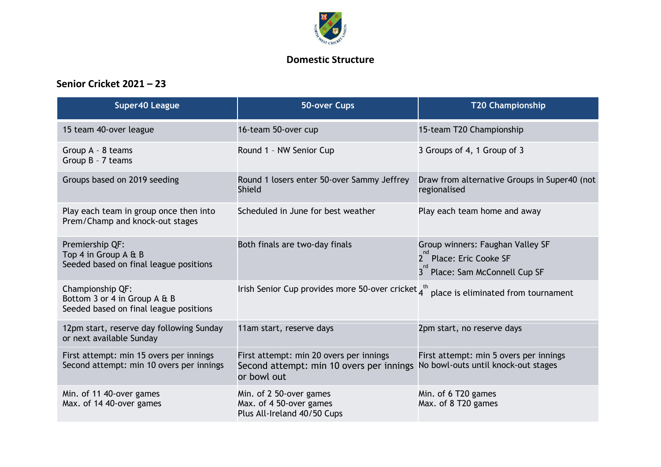

## **Domestic Structure**

## **Senior Cricket 2021 – 23**

| <b>Super40 League</b>                                                                      | 50-over Cups                                                                                       | <b>T20 Championship</b>                                                                                   |
|--------------------------------------------------------------------------------------------|----------------------------------------------------------------------------------------------------|-----------------------------------------------------------------------------------------------------------|
| 15 team 40-over league                                                                     | 16-team 50-over cup                                                                                | 15-team T20 Championship                                                                                  |
| Group A - 8 teams<br>Group B - 7 teams                                                     | Round 1 - NW Senior Cup                                                                            | 3 Groups of 4, 1 Group of 3                                                                               |
| Groups based on 2019 seeding                                                               | Round 1 losers enter 50-over Sammy Jeffrey<br>Shield                                               | Draw from alternative Groups in Super40 (not<br>regionalised                                              |
| Play each team in group once then into<br>Prem/Champ and knock-out stages                  | Scheduled in June for best weather                                                                 | Play each team home and away                                                                              |
| Premiership QF:<br>Top 4 in Group A & B<br>Seeded based on final league positions          | Both finals are two-day finals                                                                     | Group winners: Faughan Valley SF<br>2 <sup>nd</sup> Place: Eric Cooke SF<br>3 Place: Sam McConnell Cup SF |
| Championship QF:<br>Bottom 3 or 4 in Group A & B<br>Seeded based on final league positions | Irish Senior Cup provides more 50-over cricket $4^{th}$ place is eliminated from tournament        |                                                                                                           |
| 12pm start, reserve day following Sunday<br>or next available Sunday                       | 11am start, reserve days                                                                           | 2pm start, no reserve days                                                                                |
| First attempt: min 15 overs per innings<br>Second attempt: min 10 overs per innings        | First attempt: min 20 overs per innings<br>Second attempt: min 10 overs per innings<br>or bowl out | First attempt: min 5 overs per innings<br>No bowl-outs until knock-out stages                             |
| Min. of 11 40-over games<br>Max. of 14 40-over games                                       | Min. of 2 50-over games<br>Max. of 4 50-over games<br>Plus All-Ireland 40/50 Cups                  | Min. of 6 T20 games<br>Max. of 8 T20 games                                                                |